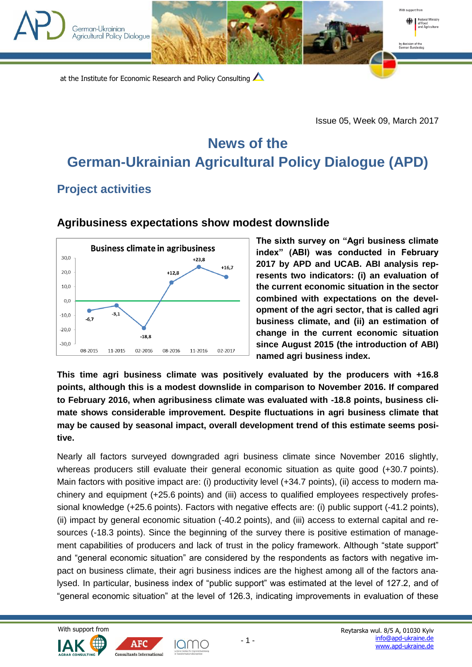

Issue 05, Week 09, March 2017

 $\blacksquare$ 

With sunnort from

by decision of the<br>German Bundest

Federal Ministry<br>of Food<br>and Agriculture

## **News of the German-Ukrainian Agricultural Policy Dialogue (APD)**

## **Project activities**

German-Ukrainian Agricultural Policy Diglogue



## **[Agribusiness expectations show modest downslide](http://ucab.ua/en/pres_sluzhba/novosti/ochikuvannya_agrobiznesu_demonstruyut_pomirne_pogirshennya)**

**The sixth survey on "Agri business climate index" (ABI) was conducted in February 2017 by APD and UCAB. ABI analysis represents two indicators: (i) an evaluation of the current economic situation in the sector combined with expectations on the development of the agri sector, that is called agri business climate, and (ii) an estimation of change in the current economic situation since August 2015 (the introduction of ABI) named agri business index.**

**This time agri business climate was positively evaluated by the producers with +16.8 points, although this is a modest downslide in comparison to November 2016. If compared to February 2016, when agribusiness climate was evaluated with -18.8 points, business climate shows considerable improvement. Despite fluctuations in agri business climate that may be caused by seasonal impact, overall development trend of this estimate seems positive.**

Nearly all factors surveyed downgraded agri business climate since November 2016 slightly, whereas producers still evaluate their general economic situation as quite good (+30.7 points). Main factors with positive impact are: (i) productivity level (+34.7 points), (ii) access to modern machinery and equipment (+25.6 points) and (iii) access to qualified employees respectively professional knowledge (+25.6 points). Factors with negative effects are: (i) public support (-41.2 points), (ii) impact by general economic situation (-40.2 points), and (iii) access to external capital and resources (-18.3 points). Since the beginning of the survey there is positive estimation of management capabilities of producers and lack of trust in the policy framework. Although "state support" and "general economic situation" are considered by the respondents as factors with negative impact on business climate, their agri business indices are the highest among all of the factors analysed. In particular, business index of "public support" was estimated at the level of 127.2, and of "general economic situation" at the level of 126.3, indicating improvements in evaluation of these





Iamo